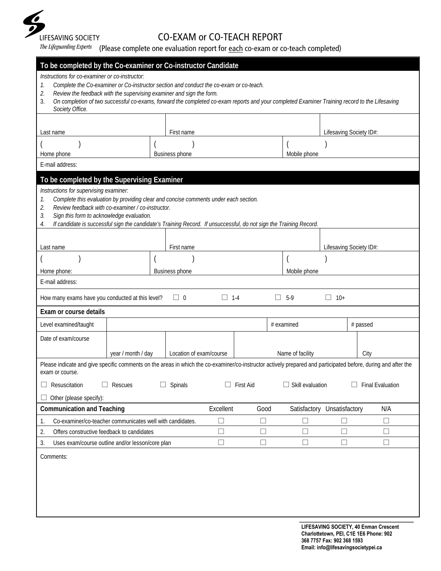

## CO-EXAM or CO-TEACH REPORT

The Lifeguarding Experts (Please complete one evaluation report for each co-exam or co-teach completed)

| To be completed by the Co-examiner or Co-instructor Candidate                                                                                                                     |                                                                                                                                                                                                                                                                                                                 |                         |            |                  |            |                             |                                                                                                                                                      |          |                         |
|-----------------------------------------------------------------------------------------------------------------------------------------------------------------------------------|-----------------------------------------------------------------------------------------------------------------------------------------------------------------------------------------------------------------------------------------------------------------------------------------------------------------|-------------------------|------------|------------------|------------|-----------------------------|------------------------------------------------------------------------------------------------------------------------------------------------------|----------|-------------------------|
| Instructions for co-examiner or co-instructor:<br>1.<br>2.<br>3.<br>Society Office.                                                                                               | Complete the Co-examiner or Co-instructor section and conduct the co-exam or co-teach.<br>Review the feedback with the supervising examiner and sign the form.<br>On completion of two successful co-exams, forward the completed co-exam reports and your completed Examiner Training record to the Lifesaving |                         |            |                  |            |                             |                                                                                                                                                      |          |                         |
|                                                                                                                                                                                   |                                                                                                                                                                                                                                                                                                                 |                         |            |                  |            |                             |                                                                                                                                                      |          |                         |
| Last name                                                                                                                                                                         |                                                                                                                                                                                                                                                                                                                 | First name              |            |                  |            |                             | Lifesaving Society ID#:                                                                                                                              |          |                         |
| Home phone                                                                                                                                                                        |                                                                                                                                                                                                                                                                                                                 | <b>Business phone</b>   |            |                  |            | Mobile phone                |                                                                                                                                                      |          |                         |
| E-mail address:                                                                                                                                                                   |                                                                                                                                                                                                                                                                                                                 |                         |            |                  |            |                             |                                                                                                                                                      |          |                         |
| To be completed by the Supervising Examiner                                                                                                                                       |                                                                                                                                                                                                                                                                                                                 |                         |            |                  |            |                             |                                                                                                                                                      |          |                         |
| Instructions for supervising examiner:<br>1.<br>2.<br>Sign this form to acknowledge evaluation.<br>3.<br>4.                                                                       | Complete this evaluation by providing clear and concise comments under each section.<br>Review feedback with co-examiner / co-instructor.<br>If candidate is successful sign the candidate's Training Record. If unsuccessful, do not sign the Training Record.                                                 |                         |            |                  |            |                             |                                                                                                                                                      |          |                         |
| Last name                                                                                                                                                                         |                                                                                                                                                                                                                                                                                                                 | First name              |            |                  |            |                             | Lifesaving Society ID#:                                                                                                                              |          |                         |
|                                                                                                                                                                                   |                                                                                                                                                                                                                                                                                                                 |                         |            |                  |            |                             |                                                                                                                                                      |          |                         |
| Home phone:                                                                                                                                                                       |                                                                                                                                                                                                                                                                                                                 | Business phone          |            |                  |            | Mobile phone                |                                                                                                                                                      |          |                         |
| E-mail address:                                                                                                                                                                   |                                                                                                                                                                                                                                                                                                                 |                         |            |                  |            |                             |                                                                                                                                                      |          |                         |
| How many exams have you conducted at this level?                                                                                                                                  |                                                                                                                                                                                                                                                                                                                 | $\Box$ 0                | $\Box$ 1-4 |                  | $\Box$     | $5-9$                       | $\Box$<br>$10+$                                                                                                                                      |          |                         |
|                                                                                                                                                                                   |                                                                                                                                                                                                                                                                                                                 |                         |            |                  |            |                             |                                                                                                                                                      |          |                         |
| Exam or course details                                                                                                                                                            |                                                                                                                                                                                                                                                                                                                 |                         |            |                  |            |                             |                                                                                                                                                      |          |                         |
| Level examined/taught                                                                                                                                                             |                                                                                                                                                                                                                                                                                                                 |                         |            |                  | # examined |                             |                                                                                                                                                      | # passed |                         |
| Date of exam/course                                                                                                                                                               |                                                                                                                                                                                                                                                                                                                 |                         |            |                  |            |                             |                                                                                                                                                      |          |                         |
|                                                                                                                                                                                   | year / month / day                                                                                                                                                                                                                                                                                              | Location of exam/course |            |                  |            | Name of facility            |                                                                                                                                                      | City     |                         |
| Please indicate and give specific comments on the areas in which the co-examiner/co-instructor actively prepared and participated before, during and after the<br>exam or course. |                                                                                                                                                                                                                                                                                                                 |                         |            |                  |            |                             |                                                                                                                                                      |          |                         |
| Resuscitation                                                                                                                                                                     | Rescues                                                                                                                                                                                                                                                                                                         | $\Box$ Spinals          | ш          | <b>First Aid</b> |            | $\Box$ Skill evaluation     |                                                                                                                                                      |          | <b>Final Evaluation</b> |
| Other (please specify):                                                                                                                                                           |                                                                                                                                                                                                                                                                                                                 |                         |            |                  |            |                             |                                                                                                                                                      |          |                         |
| <b>Communication and Teaching</b>                                                                                                                                                 |                                                                                                                                                                                                                                                                                                                 |                         | Excellent  | Good             |            | Satisfactory Unsatisfactory |                                                                                                                                                      |          | N/A                     |
| 1.                                                                                                                                                                                | Co-examiner/co-teacher communicates well with candidates.                                                                                                                                                                                                                                                       |                         | $\Box$     | $\Box$           |            | $\Box$                      | $\Box$                                                                                                                                               |          | $\Box$                  |
| 2.<br>Offers constructive feedback to candidates                                                                                                                                  |                                                                                                                                                                                                                                                                                                                 |                         | $\Box$     | $\Box$           |            | $\Box$                      | $\Box$                                                                                                                                               |          | $\Box$                  |
| 3.<br>Uses exam/course outline and/or lesson/core plan                                                                                                                            |                                                                                                                                                                                                                                                                                                                 |                         | $\Box$     | $\Box$           |            | $\Box$                      | $\Box$                                                                                                                                               |          | $\Box$                  |
| Comments:                                                                                                                                                                         |                                                                                                                                                                                                                                                                                                                 |                         |            |                  |            |                             |                                                                                                                                                      |          |                         |
|                                                                                                                                                                                   |                                                                                                                                                                                                                                                                                                                 |                         |            |                  |            |                             |                                                                                                                                                      |          |                         |
|                                                                                                                                                                                   |                                                                                                                                                                                                                                                                                                                 |                         |            |                  |            |                             | LIFESAVING SOCIETY, 40 Enman Crescent<br>Charlottetown, PEI, C1E 1E6 Phone: 902<br>368 7757 Fax: 902 368 1593<br>Email: info@lifesavingsocietypei.ca |          |                         |